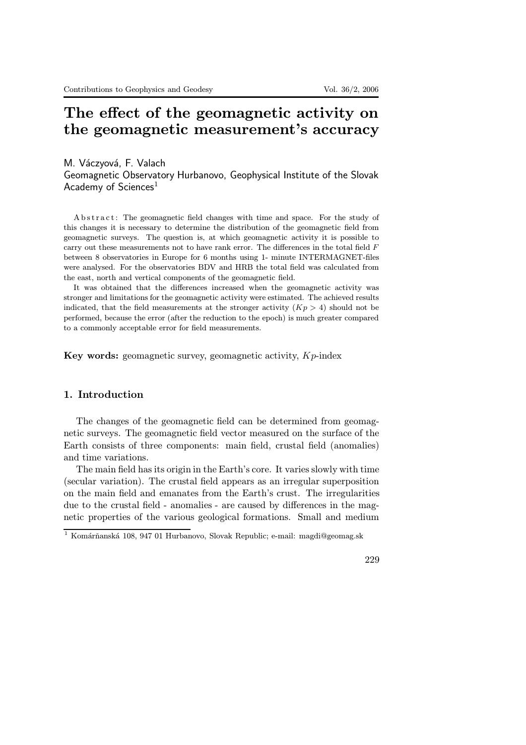# The effect of the geomagnetic activity on the geomagnetic measurement's accuracy

M. Váczyová, F. Valach Geomagnetic Observatory Hurbanovo, Geophysical Institute of the Slovak Academy of Sciences<sup>1</sup>

A b stract: The geomagnetic field changes with time and space. For the study of this changes it is necessary to determine the distribution of the geomagnetic field from geomagnetic surveys. The question is, at which geomagnetic activity it is possible to carry out these measurements not to have rank error. The differences in the total field  $F$ between 8 observatories in Europe for 6 months using 1- minute INTERMAGNET-files were analysed. For the observatories BDV and HRB the total field was calculated from the east, north and vertical components of the geomagnetic field.

It was obtained that the differences increased when the geomagnetic activity was stronger and limitations for the geomagnetic activity were estimated. The achieved results indicated, that the field measurements at the stronger activity  $(Kp > 4)$  should not be performed, because the error (after the reduction to the epoch) is much greater compared to a commonly acceptable error for field measurements.

Key words: geomagnetic survey, geomagnetic activity,  $Kp$ -index

## 1. Introduction

The changes of the geomagnetic field can be determined from geomagnetic surveys. The geomagnetic field vector measured on the surface of the Earth consists of three components: main field, crustal field (anomalies) and time variations.

The main field has its origin in the Earth's core. It varies slowly with time (secular variation). The crustal field appears as an irregular superposition on the main field and emanates from the Earth's crust. The irregularities due to the crustal field - anomalies - are caused by differences in the magnetic properties of the various geological formations. Small and medium

 $^1$  Komárňanská 108, 947 01 Hurbanovo, Slovak Republic; e-mail: magdi@geomag.sk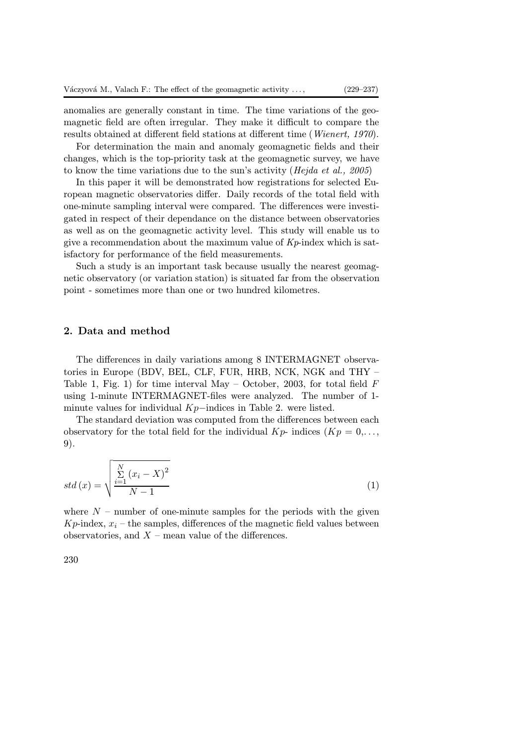anomalies are generally constant in time. The time variations of the geomagnetic field are often irregular. They make it difficult to compare the results obtained at different field stations at different time (Wienert, 1970).

For determination the main and anomaly geomagnetic fields and their changes, which is the top-priority task at the geomagnetic survey, we have to know the time variations due to the sun's activity (Hejda et al., 2005)

In this paper it will be demonstrated how registrations for selected European magnetic observatories differ. Daily records of the total field with one-minute sampling interval were compared. The differences were investigated in respect of their dependance on the distance between observatories as well as on the geomagnetic activity level. This study will enable us to give a recommendation about the maximum value of  $K_p$ -index which is satisfactory for performance of the field measurements.

Such a study is an important task because usually the nearest geomagnetic observatory (or variation station) is situated far from the observation point - sometimes more than one or two hundred kilometres.

#### 2. Data and method

The differences in daily variations among 8 INTERMAGNET observatories in Europe (BDV, BEL, CLF, FUR, HRB, NCK, NGK and THY – Table 1, Fig. 1) for time interval May – October, 2003, for total field  $F$ using 1-minute INTERMAGNET-files were analyzed. The number of 1 minute values for individual Kp−indices in Table 2. were listed.

The standard deviation was computed from the differences between each observatory for the total field for the individual  $Kp$ - indices  $(Kp = 0, \ldots,$ 9).

$$
std(x) = \sqrt{\frac{\sum_{i=1}^{N} (x_i - X)^2}{N - 1}}
$$
\n(1)

where  $N$  – number of one-minute samples for the periods with the given  $Kp$ -index,  $x_i$  – the samples, differences of the magnetic field values between observatories, and  $X$  – mean value of the differences.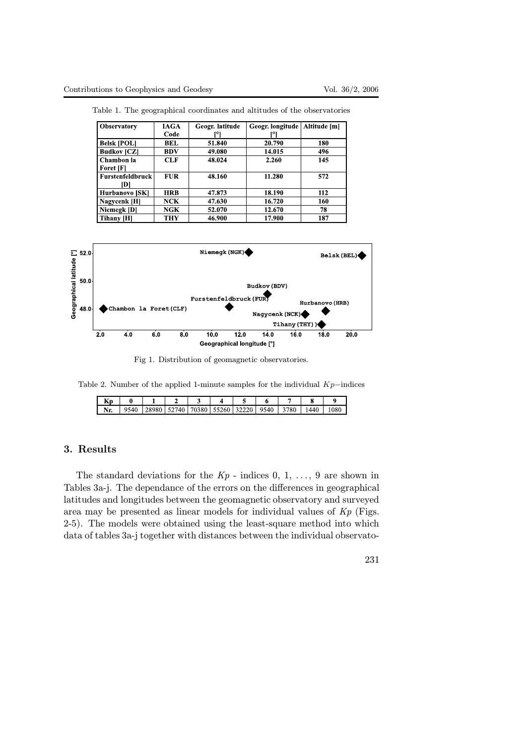| <b>Observatory</b>      | IAGA       | Geogr. latitude | Geogr. longitude | Altitude [m] |
|-------------------------|------------|-----------------|------------------|--------------|
|                         | Code       | r٥۱             | וסן              |              |
| <b>Belsk [POL]</b>      | BEL        | 51.840          | 20.790           | 180          |
| <b>Budkov [CZ]</b>      | BDV        | 49.080          | 14.015           | 496          |
| Chambon la              | <b>CLF</b> | 48.024          | 2.260            | 145          |
| Foret [F]               |            |                 |                  |              |
| <b>Furstenfeldbruck</b> | <b>FUR</b> | 48.160          | 11.280           | 572          |
| DI                      |            |                 |                  |              |
| <b>Hurbanovo [SK]</b>   | <b>HRB</b> | 47.873          | 18.190           | 112          |
| Nagycenk [H]            | NCK        | 47.630          | 16.720           | 160          |
| Niemegk [D]             | NGK        | 52.070          | 12.670           | 78           |
| Tihany [H]              | <b>THY</b> | 46.900          | 17.900           | 187          |

Table 1. The geographical coordinates and altitudes of the observatories



Fig 1. Distribution of geomagnetic observatories.

Table 2. Number of the applied 1-minute samples for the individual  $Kp$ −indices

| - 11 |      |       |       |       |       |                 |      |      |      |     |
|------|------|-------|-------|-------|-------|-----------------|------|------|------|-----|
| ,,,  | 9540 | 28980 | 52740 | 70380 | 55260 | ,2220<br>$\sim$ | 9540 | 3780 | 1440 | 080 |

### 3. Results

The standard deviations for the  $Kp$  - indices 0, 1, ..., 9 are shown in Tables 3a-j. The dependance of the errors on the differences in geographical latitudes and longitudes between the geomagnetic observatory and surveyed area may be presented as linear models for individual values of Kp (Figs. 2-5). The models were obtained using the least-square method into which data of tables 3a-j together with distances between the individual observato-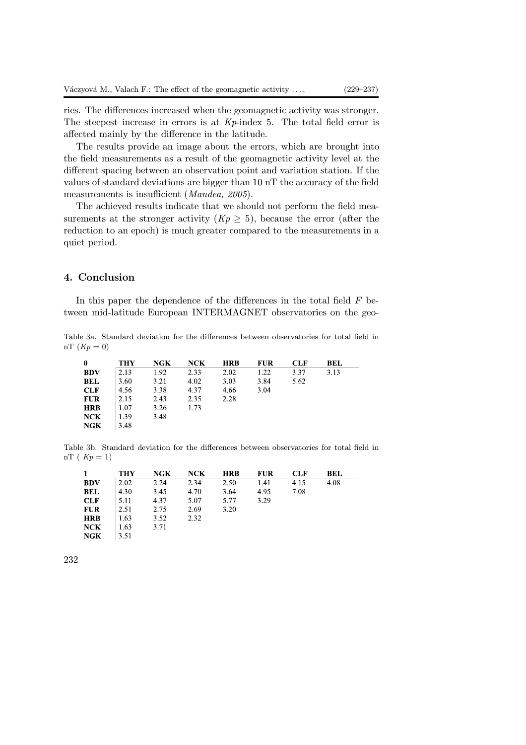ries. The differences increased when the geomagnetic activity was stronger. The steepest increase in errors is at  $Kp$ -index 5. The total field error is affected mainly by the difference in the latitude.

The results provide an image about the errors, which are brought into the field measurements as a result of the geomagnetic activity level at the different spacing between an observation point and variation station. If the values of standard deviations are bigger than 10 nT the accuracy of the field measurements is insufficient (*Mandea, 2005*).

The achieved results indicate that we should not perform the field measurements at the stronger activity  $(Kp \geq 5)$ , because the error (after the reduction to an epoch) is much greater compared to the measurements in a quiet period.

### 4. Conclusion

In this paper the dependence of the differences in the total field  $F$  between mid-latitude European INTERMAGNET observatories on the geo-

Table 3a. Standard deviation for the differences between observatories for total field in nT  $(Kp = 0)$ 

|            | THY  | NGK  | NCK  | <b>HRB</b> | FUR  | <b>CLF</b> | BEL  |
|------------|------|------|------|------------|------|------------|------|
| <b>BDV</b> | 2.13 | 1.92 | 2.33 | 2.02       | 1.22 | 3.37       | 3.13 |
| <b>BEL</b> | 3.60 | 3.21 | 4.02 | 3.03       | 3.84 | 5.62       |      |
| <b>CLF</b> | 4.56 | 3.38 | 4.37 | 4.66       | 3.04 |            |      |
| <b>FUR</b> | 2.15 | 2.43 | 2.35 | 2.28       |      |            |      |
| <b>HRB</b> | 1.07 | 3.26 | 1.73 |            |      |            |      |
| NCK        | 1.39 | 3.48 |      |            |      |            |      |
| NGK        | 3.48 |      |      |            |      |            |      |

Table 3b. Standard deviation for the differences between observatories for total field in nT ( $Kp = 1$ )

|            | <b>THY</b>         | <b>NGK</b> | NCK  | <b>HRB</b> | FUR  | <b>CLF</b> | BEL  |
|------------|--------------------|------------|------|------------|------|------------|------|
| <b>BDV</b> | $\vert 2.02 \vert$ | 2.24       | 2.34 | 2.50       | 1.41 | 4.15       | 4.08 |
| BEL        | $ 4.30\rangle$     | 3.45       | 4.70 | 3.64       | 4.95 | 7.08       |      |
| CLF        | 5.11               | 4.37       | 5.07 | 5.77       | 3.29 |            |      |
| <b>FUR</b> | $ 2.51 \t 2.75$    |            | 2.69 | 3.20       |      |            |      |
| <b>HRB</b> | 1.63               | 3.52       | 2.32 |            |      |            |      |
| NCK        | 1.63               | 3.71       |      |            |      |            |      |
| NGK        | 3.51               |            |      |            |      |            |      |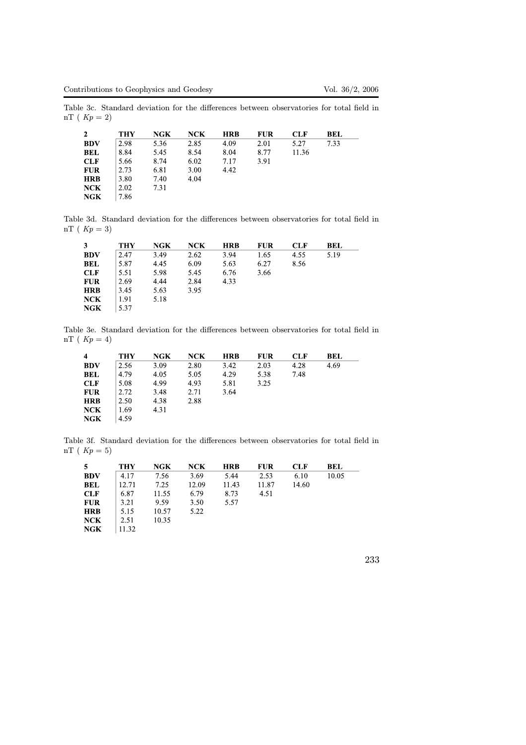Table 3c. Standard deviation for the differences between observatories for total field in nT ( $Kp = 2$ )

|            | <b>THY</b> | NGK  | NCK  | <b>HRB</b> | <b>FUR</b> | CLF   | BEL  |
|------------|------------|------|------|------------|------------|-------|------|
| <b>BDV</b> | 2.98       | 5.36 | 2.85 | 4.09       | 2.01       | 5.27  | 7.33 |
| <b>BEL</b> | 8.84       | 5.45 | 8.54 | 8.04       | 8.77       | 11.36 |      |
| <b>CLF</b> | 5.66       | 8.74 | 6.02 | 7.17       | 3.91       |       |      |
| <b>FUR</b> | 2.73       | 6.81 | 3.00 | 4.42       |            |       |      |
| <b>HRB</b> | 3.80       | 7.40 | 4.04 |            |            |       |      |
| NCK        | 2.02       | 7.31 |      |            |            |       |      |
| NGK        | 7.86       |      |      |            |            |       |      |

Table 3d. Standard deviation for the differences between observatories for total field in nT ( $Kp = 3$ )

| 3          | THY  | NGK  | NCK  | <b>HRB</b> | <b>FUR</b> | <b>CLF</b> | <b>BEL</b> |
|------------|------|------|------|------------|------------|------------|------------|
| <b>BDV</b> | 2.47 | 3.49 | 2.62 | 3.94       | 1.65       | 4.55       | 5.19       |
| <b>BEL</b> | 5.87 | 4.45 | 6.09 | 5.63       | 6.27       | 8.56       |            |
| <b>CLF</b> | 5.51 | 5.98 | 5.45 | 6.76       | 3.66       |            |            |
| <b>FUR</b> | 2.69 | 4.44 | 2.84 | 4.33       |            |            |            |
| <b>HRB</b> | 3.45 | 5.63 | 3.95 |            |            |            |            |
| NCK        | 1.91 | 5.18 |      |            |            |            |            |
| NGK        | 5.37 |      |      |            |            |            |            |

Table 3e. Standard deviation for the differences between observatories for total field in nT ( $Kp = 4$ )

| 4          | THY  | NGK  | NCK  | <b>HRB</b> | FUR  | <b>CLF</b> | BEL  |
|------------|------|------|------|------------|------|------------|------|
| <b>BDV</b> | 2.56 | 3.09 | 2.80 | 3.42       | 2.03 | 4.28       | 4.69 |
| <b>BEL</b> | 4.79 | 4.05 | 5.05 | 4.29       | 5.38 | 7.48       |      |
| <b>CLF</b> | 5.08 | 4.99 | 4.93 | 5.81       | 3.25 |            |      |
| <b>FUR</b> | 2.72 | 3.48 | 2.71 | 3.64       |      |            |      |
| <b>HRB</b> | 2.50 | 4.38 | 2.88 |            |      |            |      |
| NCK        | 1.69 | 4.31 |      |            |      |            |      |
| NGK        | 4.59 |      |      |            |      |            |      |

Table 3f. Standard deviation for the differences between observatories for total field in nT ( $Kp = 5$ )

| 5          | THY   | NGK   | NCK   | <b>HRB</b> | <b>FUR</b> | CLF   | BEL   |
|------------|-------|-------|-------|------------|------------|-------|-------|
| <b>BDV</b> | 4.17  | 7.56  | 3.69  | 5.44       | 2.53       | 6.10  | 10.05 |
| <b>BEL</b> | 12.71 | 7.25  | 12.09 | 11.43      | 11.87      | 14.60 |       |
| CLF        | 6.87  | 11.55 | 6.79  | 8.73       | 4.51       |       |       |
| <b>FUR</b> | 3.21  | 9.59  | 3.50  | 5.57       |            |       |       |
| <b>HRB</b> | 5.15  | 10.57 | 5.22  |            |            |       |       |
| NCK        | 2.51  | 10.35 |       |            |            |       |       |
| <b>NGK</b> | 11.32 |       |       |            |            |       |       |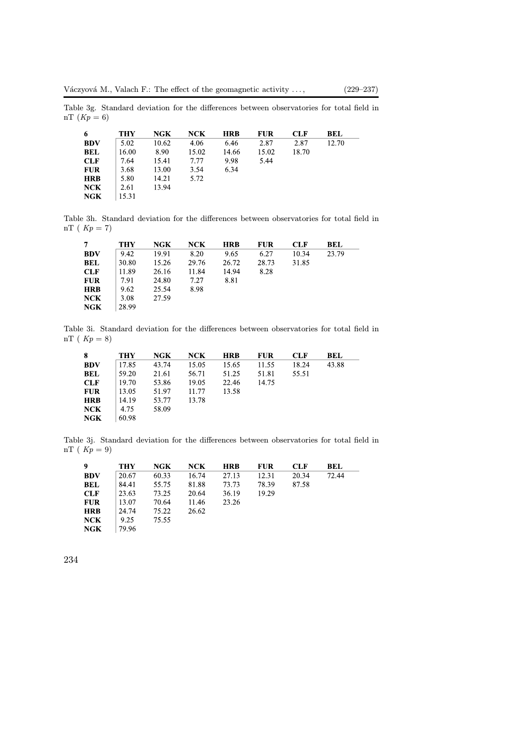Table 3g. Standard deviation for the differences between observatories for total field in nT  $(Kp = 6)$ 

| 6          | THY   | NGK   | NCK   | <b>HRB</b> | <b>FUR</b> | <b>CLF</b> | <b>BEL</b> |
|------------|-------|-------|-------|------------|------------|------------|------------|
| <b>BDV</b> | 5.02  | 10.62 | 4.06  | 6.46       | 2.87       | 2.87       | 12.70      |
| <b>BEL</b> | 16.00 | 8.90  | 15.02 | 14.66      | 15.02      | 18.70      |            |
| CLF        | 7.64  | 15.41 | 7.77  | 9.98       | 5.44       |            |            |
| <b>FUR</b> | 3.68  | 13.00 | 3.54  | 6.34       |            |            |            |
| <b>HRB</b> | 5.80  | 14.21 | 5.72  |            |            |            |            |
| <b>NCK</b> | 2.61  | 13.94 |       |            |            |            |            |
| <b>NGK</b> | 15.31 |       |       |            |            |            |            |

Table 3h. Standard deviation for the differences between observatories for total field in nT (  $Kp = 7$ )

| 7          | <b>THY</b> | NGK   | NCK   | <b>HRB</b> | <b>FUR</b> | CLF   | BEL   |
|------------|------------|-------|-------|------------|------------|-------|-------|
| <b>BDV</b> | 9.42       | 19.91 | 8.20  | 9.65       | 6.27       | 10.34 | 23.79 |
| <b>BEL</b> | 30.80      | 15.26 | 29.76 | 26.72      | 28.73      | 31.85 |       |
| <b>CLF</b> | 11.89      | 26.16 | 11.84 | 14.94      | 8.28       |       |       |
| <b>FUR</b> | 7.91       | 24.80 | 7.27  | 8.81       |            |       |       |
| <b>HRB</b> | 9.62       | 25.54 | 8.98  |            |            |       |       |
| NCK        | 3.08       | 27.59 |       |            |            |       |       |
| <b>NGK</b> | 28.99      |       |       |            |            |       |       |

Table 3i. Standard deviation for the differences between observatories for total field in nT ( $Kp = 8$ )

| 8          | <b>THY</b> | NGK   | NCK   | <b>HRB</b> | <b>FUR</b> | <b>CLF</b> | BEL   |
|------------|------------|-------|-------|------------|------------|------------|-------|
| <b>BDV</b> | 17.85      | 43.74 | 15.05 | 15.65      | 11.55      | 18.24      | 43.88 |
| <b>BEL</b> | 59.20      | 21.61 | 56.71 | 51.25      | 51.81      | 55.51      |       |
| <b>CLF</b> | 19.70      | 53.86 | 19.05 | 22.46      | 14.75      |            |       |
| <b>FUR</b> | 13.05      | 51.97 | 11.77 | 13.58      |            |            |       |
| <b>HRB</b> | 14.19      | 53.77 | 13.78 |            |            |            |       |
| <b>NCK</b> | 4.75       | 58.09 |       |            |            |            |       |
| <b>NGK</b> | 60.98      |       |       |            |            |            |       |

Table 3j. Standard deviation for the differences between observatories for total field in nT ( $Kp = 9$ )

| 9          | <b>THY</b> | NGK   | NCK   | <b>HRB</b> | <b>FUR</b> | <b>CLF</b> | BEL   |
|------------|------------|-------|-------|------------|------------|------------|-------|
| <b>BDV</b> | 20.67      | 60.33 | 16.74 | 27.13      | 12.31      | 20.34      | 72.44 |
| <b>BEL</b> | 84.41      | 55.75 | 81.88 | 73.73      | 78.39      | 87.58      |       |
| <b>CLF</b> | 23.63      | 73.25 | 20.64 | 36.19      | 19.29      |            |       |
| <b>FUR</b> | 13.07      | 70.64 | 11.46 | 23.26      |            |            |       |
| <b>HRB</b> | 24.74      | 75.22 | 26.62 |            |            |            |       |
| NCK        | 9.25       | 75.55 |       |            |            |            |       |
| <b>NGK</b> | 79.96      |       |       |            |            |            |       |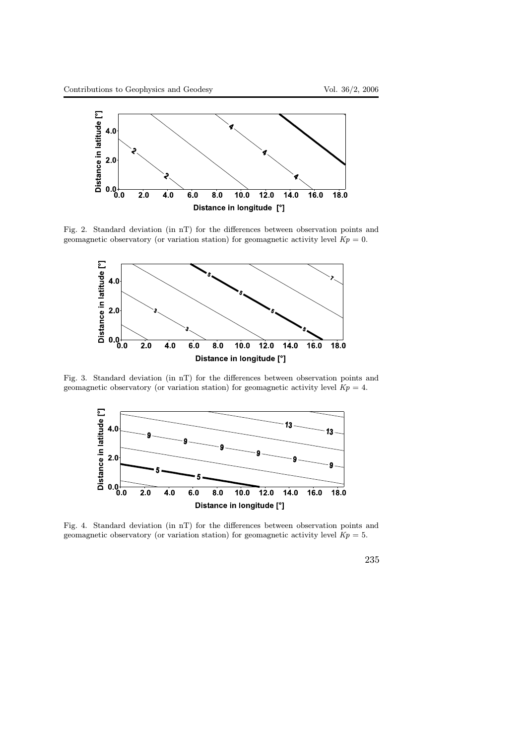

Fig. 2. Standard deviation (in nT) for the differences between observation points and geomagnetic observatory (or variation station) for geomagnetic activity level  $Kp = 0$ .



Fig. 3. Standard deviation (in nT) for the differences between observation points and geomagnetic observatory (or variation station) for geomagnetic activity level  $Kp = 4$ .



Fig. 4. Standard deviation (in nT) for the differences between observation points and geomagnetic observatory (or variation station) for geomagnetic activity level  $Kp = 5$ .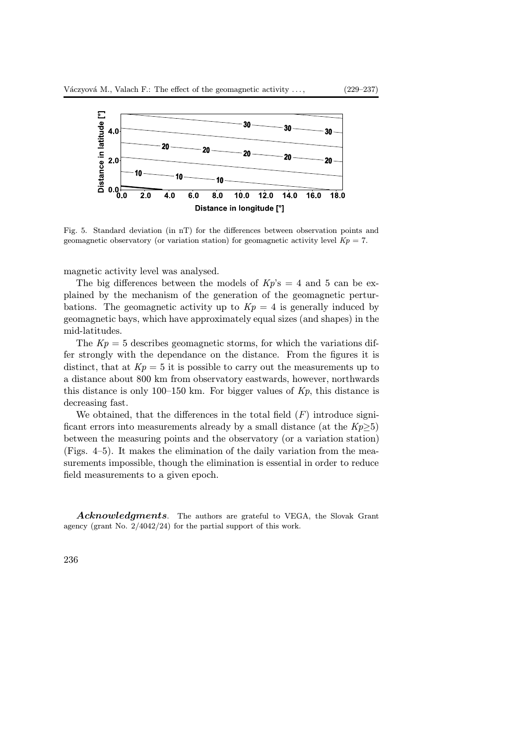

Fig. 5. Standard deviation (in nT) for the differences between observation points and geomagnetic observatory (or variation station) for geomagnetic activity level  $Kp = 7$ .

magnetic activity level was analysed.

The big differences between the models of  $Kp$ 's = 4 and 5 can be explained by the mechanism of the generation of the geomagnetic perturbations. The geomagnetic activity up to  $Kp = 4$  is generally induced by geomagnetic bays, which have approximately equal sizes (and shapes) in the mid-latitudes.

The  $Kp = 5$  describes geomagnetic storms, for which the variations differ strongly with the dependance on the distance. From the figures it is distinct, that at  $Kp = 5$  it is possible to carry out the measurements up to a distance about 800 km from observatory eastwards, however, northwards this distance is only 100–150 km. For bigger values of  $Kp$ , this distance is decreasing fast.

We obtained, that the differences in the total field  $(F)$  introduce significant errors into measurements already by a small distance (at the  $Kp>5$ ) between the measuring points and the observatory (or a variation station) (Figs. 4–5). It makes the elimination of the daily variation from the measurements impossible, though the elimination is essential in order to reduce field measurements to a given epoch.

Acknowledgments. The authors are grateful to VEGA, the Slovak Grant agency (grant No. 2/4042/24) for the partial support of this work.